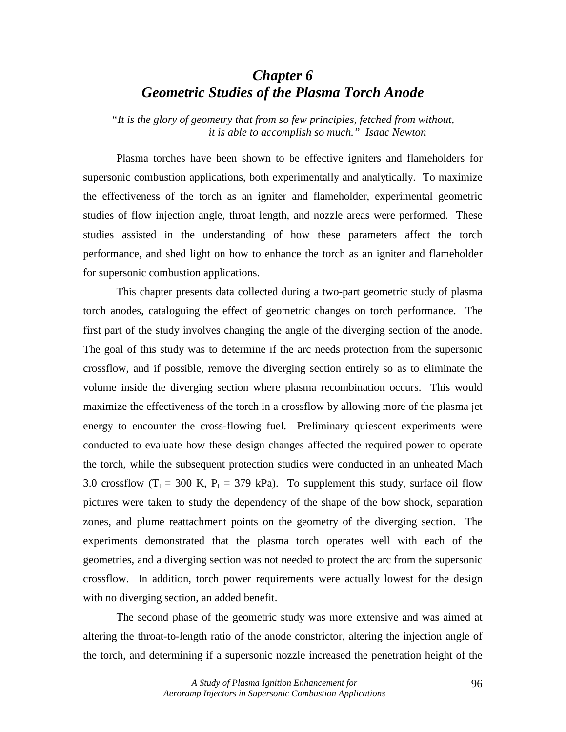# *Chapter 6 Geometric Studies of the Plasma Torch Anode*

*"It is the glory of geometry that from so few principles, fetched from without, it is able to accomplish so much." Isaac Newton* 

Plasma torches have been shown to be effective igniters and flameholders for supersonic combustion applications, both experimentally and analytically. To maximize the effectiveness of the torch as an igniter and flameholder, experimental geometric studies of flow injection angle, throat length, and nozzle areas were performed. These studies assisted in the understanding of how these parameters affect the torch performance, and shed light on how to enhance the torch as an igniter and flameholder for supersonic combustion applications.

This chapter presents data collected during a two-part geometric study of plasma torch anodes, cataloguing the effect of geometric changes on torch performance. The first part of the study involves changing the angle of the diverging section of the anode. The goal of this study was to determine if the arc needs protection from the supersonic crossflow, and if possible, remove the diverging section entirely so as to eliminate the volume inside the diverging section where plasma recombination occurs. This would maximize the effectiveness of the torch in a crossflow by allowing more of the plasma jet energy to encounter the cross-flowing fuel. Preliminary quiescent experiments were conducted to evaluate how these design changes affected the required power to operate the torch, while the subsequent protection studies were conducted in an unheated Mach 3.0 crossflow  $(T_t = 300 \text{ K}, P_t = 379 \text{ kPa})$ . To supplement this study, surface oil flow pictures were taken to study the dependency of the shape of the bow shock, separation zones, and plume reattachment points on the geometry of the diverging section. The experiments demonstrated that the plasma torch operates well with each of the geometries, and a diverging section was not needed to protect the arc from the supersonic crossflow. In addition, torch power requirements were actually lowest for the design with no diverging section, an added benefit.

The second phase of the geometric study was more extensive and was aimed at altering the throat-to-length ratio of the anode constrictor, altering the injection angle of the torch, and determining if a supersonic nozzle increased the penetration height of the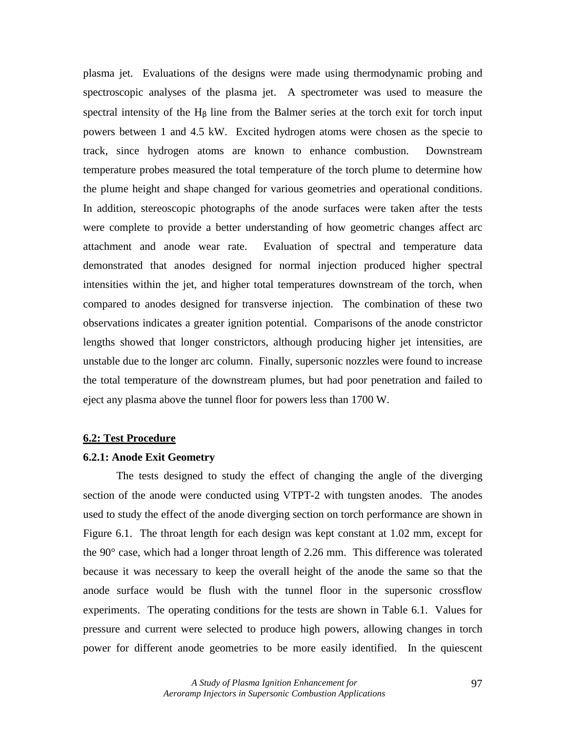plasma jet. Evaluations of the designs were made using thermodynamic probing and spectroscopic analyses of the plasma jet. A spectrometer was used to measure the spectral intensity of the  $H_B$  line from the Balmer series at the torch exit for torch input powers between 1 and 4.5 kW. Excited hydrogen atoms were chosen as the specie to track, since hydrogen atoms are known to enhance combustion. Downstream temperature probes measured the total temperature of the torch plume to determine how the plume height and shape changed for various geometries and operational conditions. In addition, stereoscopic photographs of the anode surfaces were taken after the tests were complete to provide a better understanding of how geometric changes affect arc attachment and anode wear rate. Evaluation of spectral and temperature data demonstrated that anodes designed for normal injection produced higher spectral intensities within the jet, and higher total temperatures downstream of the torch, when compared to anodes designed for transverse injection. The combination of these two observations indicates a greater ignition potential. Comparisons of the anode constrictor lengths showed that longer constrictors, although producing higher jet intensities, are unstable due to the longer arc column. Finally, supersonic nozzles were found to increase the total temperature of the downstream plumes, but had poor penetration and failed to eject any plasma above the tunnel floor for powers less than 1700 W.

#### **6.2: Test Procedure**

#### **6.2.1: Anode Exit Geometry**

 The tests designed to study the effect of changing the angle of the diverging section of the anode were conducted using VTPT-2 with tungsten anodes. The anodes used to study the effect of the anode diverging section on torch performance are shown in Figure 6.1. The throat length for each design was kept constant at 1.02 mm, except for the 90° case, which had a longer throat length of 2.26 mm. This difference was tolerated because it was necessary to keep the overall height of the anode the same so that the anode surface would be flush with the tunnel floor in the supersonic crossflow experiments. The operating conditions for the tests are shown in Table 6.1. Values for pressure and current were selected to produce high powers, allowing changes in torch power for different anode geometries to be more easily identified. In the quiescent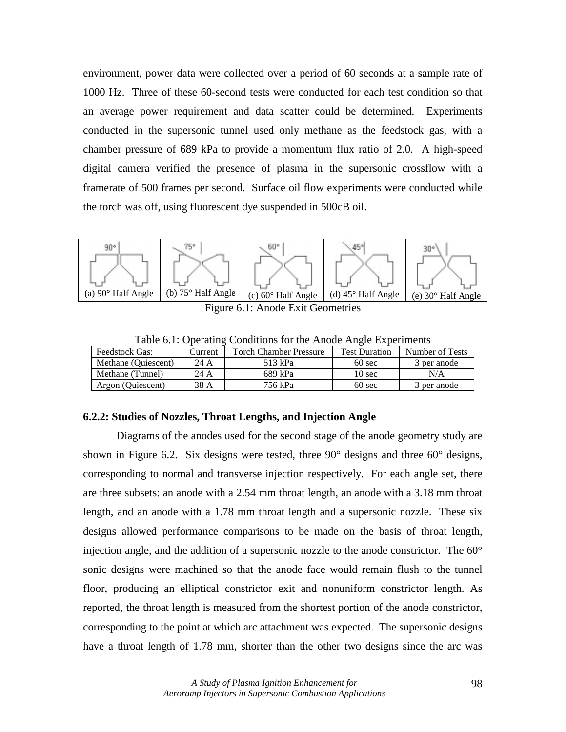environment, power data were collected over a period of 60 seconds at a sample rate of 1000 Hz. Three of these 60-second tests were conducted for each test condition so that an average power requirement and data scatter could be determined. Experiments conducted in the supersonic tunnel used only methane as the feedstock gas, with a chamber pressure of 689 kPa to provide a momentum flux ratio of 2.0. A high-speed digital camera verified the presence of plasma in the supersonic crossflow with a framerate of 500 frames per second. Surface oil flow experiments were conducted while the torch was off, using fluorescent dye suspended in 500cB oil.



Figure 6.1: Anode Exit Geometries

| Table 0.1. Operating Conditions for the Timoue Tingle Experiments |         |                               |                      |                 |
|-------------------------------------------------------------------|---------|-------------------------------|----------------------|-----------------|
| <b>Feedstock Gas:</b>                                             | Current | <b>Torch Chamber Pressure</b> | <b>Test Duration</b> | Number of Tests |
| Methane (Quiescent)                                               | 24 A    | 513 kPa                       | $60 \text{ sec}$     | 3 per anode     |
| Methane (Tunnel)                                                  | 24 A    | 689 kPa                       | $10 \text{ sec}$     | N/A             |
| Argon (Quiescent)                                                 | 38 A    | 756 kPa                       | $60 \text{ sec}$     | 3 per anode     |

Table 6.1: Operating Conditions for the Anode Angle Experiments

#### **6.2.2: Studies of Nozzles, Throat Lengths, and Injection Angle**

Diagrams of the anodes used for the second stage of the anode geometry study are shown in Figure 6.2. Six designs were tested, three 90° designs and three 60° designs, corresponding to normal and transverse injection respectively. For each angle set, there are three subsets: an anode with a 2.54 mm throat length, an anode with a 3.18 mm throat length, and an anode with a 1.78 mm throat length and a supersonic nozzle. These six designs allowed performance comparisons to be made on the basis of throat length, injection angle, and the addition of a supersonic nozzle to the anode constrictor. The 60° sonic designs were machined so that the anode face would remain flush to the tunnel floor, producing an elliptical constrictor exit and nonuniform constrictor length. As reported, the throat length is measured from the shortest portion of the anode constrictor, corresponding to the point at which arc attachment was expected. The supersonic designs have a throat length of 1.78 mm, shorter than the other two designs since the arc was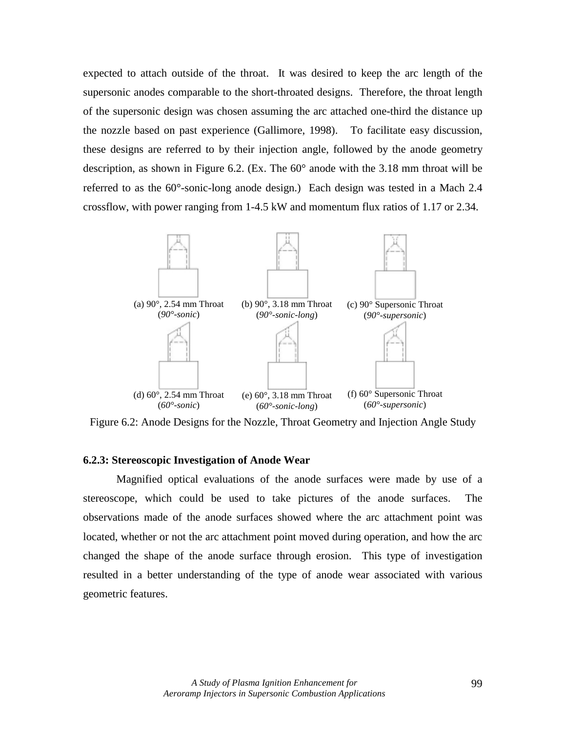expected to attach outside of the throat. It was desired to keep the arc length of the supersonic anodes comparable to the short-throated designs. Therefore, the throat length of the supersonic design was chosen assuming the arc attached one-third the distance up the nozzle based on past experience (Gallimore, 1998). To facilitate easy discussion, these designs are referred to by their injection angle, followed by the anode geometry description, as shown in Figure 6.2. (Ex. The  $60^{\circ}$  anode with the 3.18 mm throat will be referred to as the 60°-sonic-long anode design.) Each design was tested in a Mach 2.4 crossflow, with power ranging from 1-4.5 kW and momentum flux ratios of 1.17 or 2.34.



Figure 6.2: Anode Designs for the Nozzle, Throat Geometry and Injection Angle Study

#### **6.2.3: Stereoscopic Investigation of Anode Wear**

 Magnified optical evaluations of the anode surfaces were made by use of a stereoscope, which could be used to take pictures of the anode surfaces. The observations made of the anode surfaces showed where the arc attachment point was located, whether or not the arc attachment point moved during operation, and how the arc changed the shape of the anode surface through erosion. This type of investigation resulted in a better understanding of the type of anode wear associated with various geometric features.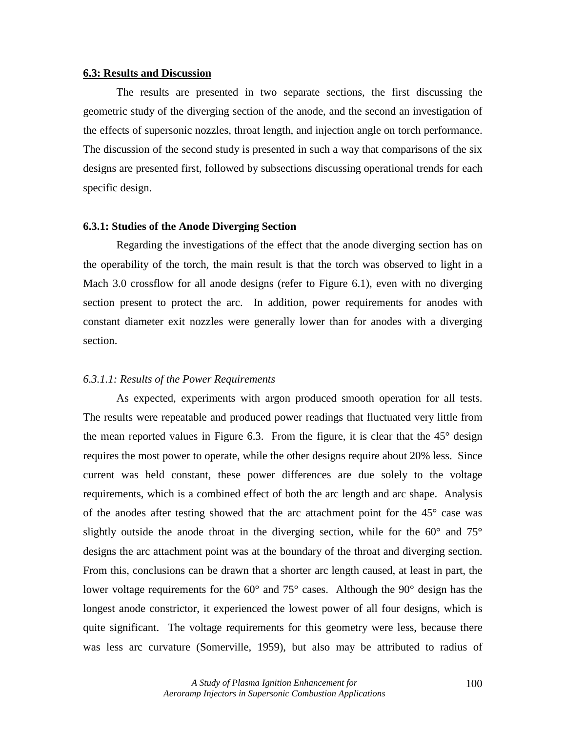#### **6.3: Results and Discussion**

 The results are presented in two separate sections, the first discussing the geometric study of the diverging section of the anode, and the second an investigation of the effects of supersonic nozzles, throat length, and injection angle on torch performance. The discussion of the second study is presented in such a way that comparisons of the six designs are presented first, followed by subsections discussing operational trends for each specific design.

#### **6.3.1: Studies of the Anode Diverging Section**

 Regarding the investigations of the effect that the anode diverging section has on the operability of the torch, the main result is that the torch was observed to light in a Mach 3.0 crossflow for all anode designs (refer to Figure 6.1), even with no diverging section present to protect the arc. In addition, power requirements for anodes with constant diameter exit nozzles were generally lower than for anodes with a diverging section.

#### *6.3.1.1: Results of the Power Requirements*

As expected, experiments with argon produced smooth operation for all tests. The results were repeatable and produced power readings that fluctuated very little from the mean reported values in Figure 6.3. From the figure, it is clear that the  $45^{\circ}$  design requires the most power to operate, while the other designs require about 20% less. Since current was held constant, these power differences are due solely to the voltage requirements, which is a combined effect of both the arc length and arc shape. Analysis of the anodes after testing showed that the arc attachment point for the 45° case was slightly outside the anode throat in the diverging section, while for the  $60^{\circ}$  and  $75^{\circ}$ designs the arc attachment point was at the boundary of the throat and diverging section. From this, conclusions can be drawn that a shorter arc length caused, at least in part, the lower voltage requirements for the 60° and 75° cases. Although the 90° design has the longest anode constrictor, it experienced the lowest power of all four designs, which is quite significant. The voltage requirements for this geometry were less, because there was less arc curvature (Somerville, 1959), but also may be attributed to radius of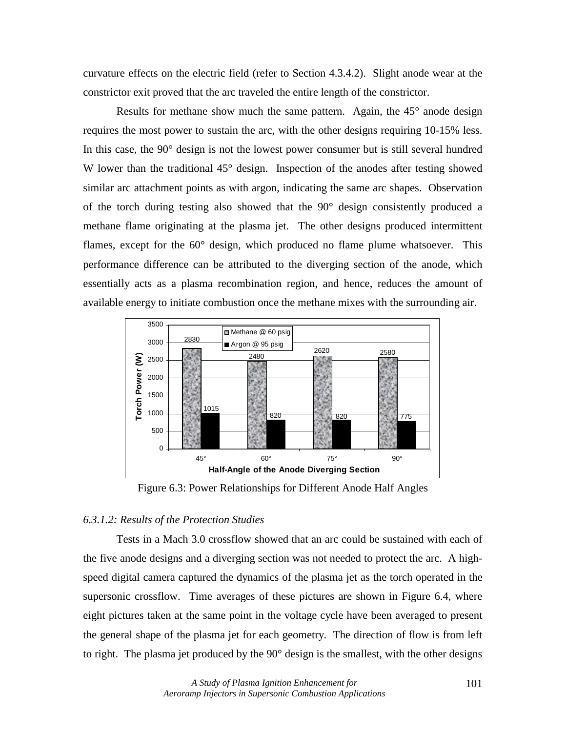curvature effects on the electric field (refer to Section 4.3.4.2). Slight anode wear at the constrictor exit proved that the arc traveled the entire length of the constrictor.

Results for methane show much the same pattern. Again, the 45° anode design requires the most power to sustain the arc, with the other designs requiring 10-15% less. In this case, the 90° design is not the lowest power consumer but is still several hundred W lower than the traditional 45<sup>°</sup> design. Inspection of the anodes after testing showed similar arc attachment points as with argon, indicating the same arc shapes. Observation of the torch during testing also showed that the 90° design consistently produced a methane flame originating at the plasma jet. The other designs produced intermittent flames, except for the 60° design, which produced no flame plume whatsoever. This performance difference can be attributed to the diverging section of the anode, which essentially acts as a plasma recombination region, and hence, reduces the amount of available energy to initiate combustion once the methane mixes with the surrounding air.



Figure 6.3: Power Relationships for Different Anode Half Angles

#### *6.3.1.2: Results of the Protection Studies*

 Tests in a Mach 3.0 crossflow showed that an arc could be sustained with each of the five anode designs and a diverging section was not needed to protect the arc. A highspeed digital camera captured the dynamics of the plasma jet as the torch operated in the supersonic crossflow. Time averages of these pictures are shown in Figure 6.4, where eight pictures taken at the same point in the voltage cycle have been averaged to present the general shape of the plasma jet for each geometry. The direction of flow is from left to right. The plasma jet produced by the 90° design is the smallest, with the other designs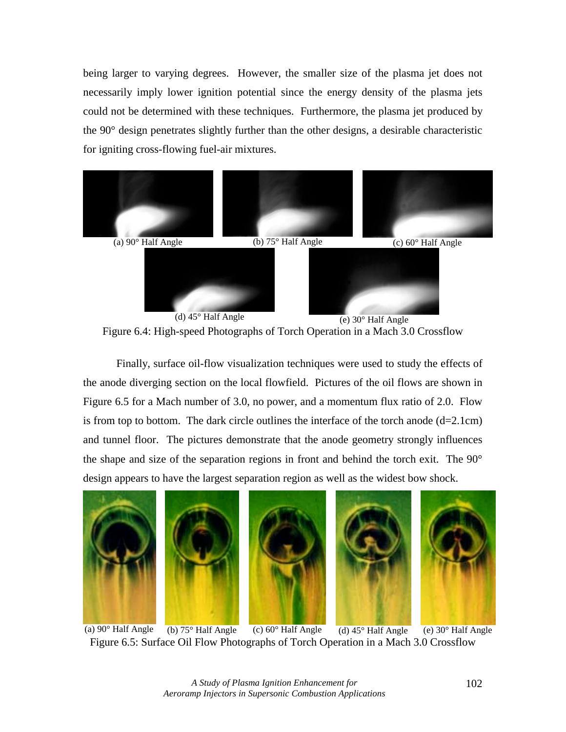being larger to varying degrees. However, the smaller size of the plasma jet does not necessarily imply lower ignition potential since the energy density of the plasma jets could not be determined with these techniques. Furthermore, the plasma jet produced by the 90° design penetrates slightly further than the other designs, a desirable characteristic for igniting cross-flowing fuel-air mixtures.



Figure 6.4: High-speed Photographs of Torch Operation in a Mach 3.0 Crossflow

 Finally, surface oil-flow visualization techniques were used to study the effects of the anode diverging section on the local flowfield. Pictures of the oil flows are shown in Figure 6.5 for a Mach number of 3.0, no power, and a momentum flux ratio of 2.0. Flow is from top to bottom. The dark circle outlines the interface of the torch anode  $(d=2.1cm)$ and tunnel floor. The pictures demonstrate that the anode geometry strongly influences the shape and size of the separation regions in front and behind the torch exit. The 90° design appears to have the largest separation region as well as the widest bow shock.



(a)  $90^\circ$  Half Angle (b)  $75^\circ$  Half Angle (c)  $60^\circ$  Half Angle (d)  $45^\circ$  Half Angle (e)  $30^\circ$  Half Angle Figure 6.5: Surface Oil Flow Photographs of Torch Operation in a Mach 3.0 Crossflow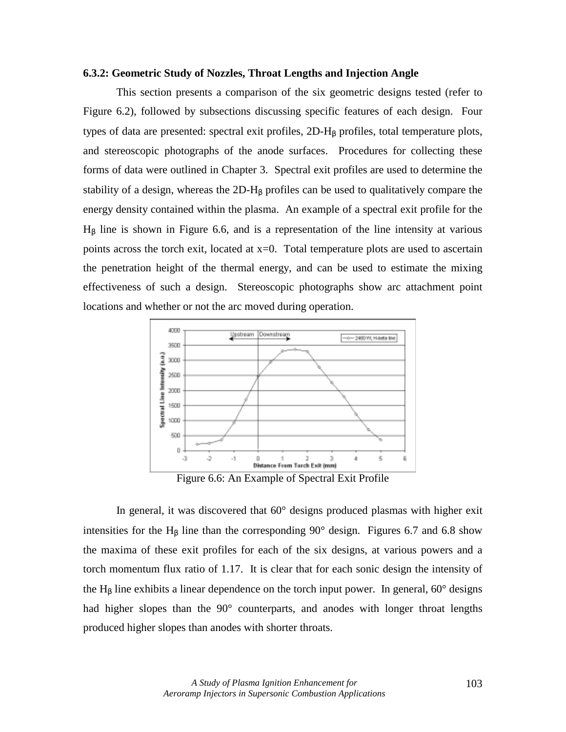#### **6.3.2: Geometric Study of Nozzles, Throat Lengths and Injection Angle**

 This section presents a comparison of the six geometric designs tested (refer to Figure 6.2), followed by subsections discussing specific features of each design. Four types of data are presented: spectral exit profiles,  $2D-H<sub>β</sub>$  profiles, total temperature plots, and stereoscopic photographs of the anode surfaces. Procedures for collecting these forms of data were outlined in Chapter 3. Spectral exit profiles are used to determine the stability of a design, whereas the  $2D-H_8$  profiles can be used to qualitatively compare the energy density contained within the plasma. An example of a spectral exit profile for the  $H<sub>β</sub>$  line is shown in Figure 6.6, and is a representation of the line intensity at various points across the torch exit, located at x=0. Total temperature plots are used to ascertain the penetration height of the thermal energy, and can be used to estimate the mixing effectiveness of such a design. Stereoscopic photographs show arc attachment point locations and whether or not the arc moved during operation.



Figure 6.6: An Example of Spectral Exit Profile

In general, it was discovered that 60° designs produced plasmas with higher exit intensities for the H<sub>β</sub> line than the corresponding  $90^{\circ}$  design. Figures 6.7 and 6.8 show the maxima of these exit profiles for each of the six designs, at various powers and a torch momentum flux ratio of 1.17. It is clear that for each sonic design the intensity of the H<sub>β</sub> line exhibits a linear dependence on the torch input power. In general,  $60^{\circ}$  designs had higher slopes than the 90° counterparts, and anodes with longer throat lengths produced higher slopes than anodes with shorter throats.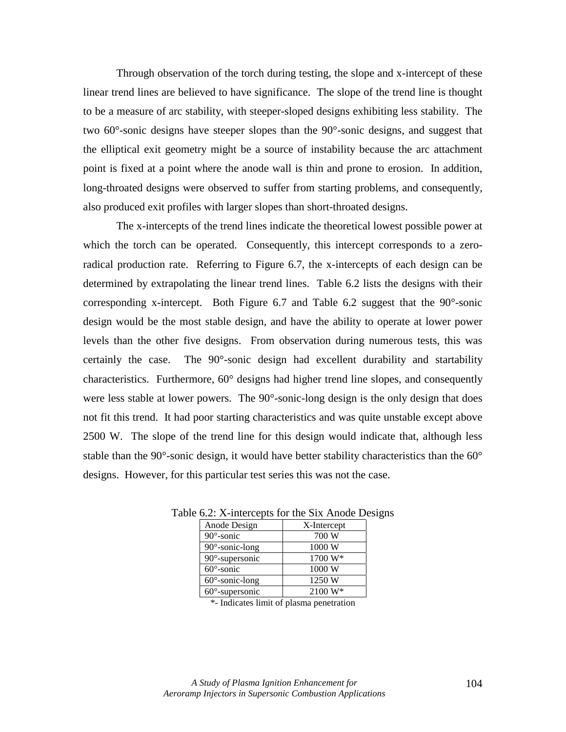Through observation of the torch during testing, the slope and x-intercept of these linear trend lines are believed to have significance. The slope of the trend line is thought to be a measure of arc stability, with steeper-sloped designs exhibiting less stability. The two 60°-sonic designs have steeper slopes than the 90°-sonic designs, and suggest that the elliptical exit geometry might be a source of instability because the arc attachment point is fixed at a point where the anode wall is thin and prone to erosion. In addition, long-throated designs were observed to suffer from starting problems, and consequently, also produced exit profiles with larger slopes than short-throated designs.

The x-intercepts of the trend lines indicate the theoretical lowest possible power at which the torch can be operated. Consequently, this intercept corresponds to a zeroradical production rate. Referring to Figure 6.7, the x-intercepts of each design can be determined by extrapolating the linear trend lines. Table 6.2 lists the designs with their corresponding x-intercept. Both Figure 6.7 and Table 6.2 suggest that the 90°-sonic design would be the most stable design, and have the ability to operate at lower power levels than the other five designs. From observation during numerous tests, this was certainly the case. The 90°-sonic design had excellent durability and startability characteristics. Furthermore, 60° designs had higher trend line slopes, and consequently were less stable at lower powers. The 90°-sonic-long design is the only design that does not fit this trend. It had poor starting characteristics and was quite unstable except above 2500 W. The slope of the trend line for this design would indicate that, although less stable than the 90 $^{\circ}$ -sonic design, it would have better stability characteristics than the 60 $^{\circ}$ designs. However, for this particular test series this was not the case.

| Anode Design           | X-Intercept |  |  |
|------------------------|-------------|--|--|
| $90^\circ$ -sonic      | 700 W       |  |  |
| $90^\circ$ -sonic-long | 1000 W      |  |  |
| 90°-supersonic         | 1700 W*     |  |  |
| $60^\circ$ -sonic      | 1000 W      |  |  |
| $60^\circ$ -sonic-long | 1250 W      |  |  |
| $60^\circ$ -supersonic | $2100 W*$   |  |  |

Table 6.2: X-intercepts for the Six Anode Designs

\*- Indicates limit of plasma penetration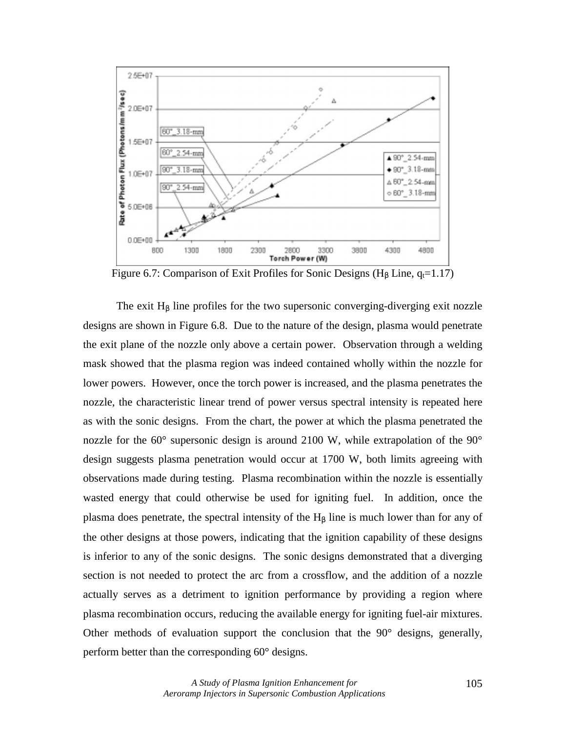

Figure 6.7: Comparison of Exit Profiles for Sonic Designs (H<sub>B</sub> Line,  $q_t=1.17$ )

The exit  $H<sub>β</sub>$  line profiles for the two supersonic converging-diverging exit nozzle designs are shown in Figure 6.8. Due to the nature of the design, plasma would penetrate the exit plane of the nozzle only above a certain power. Observation through a welding mask showed that the plasma region was indeed contained wholly within the nozzle for lower powers. However, once the torch power is increased, and the plasma penetrates the nozzle, the characteristic linear trend of power versus spectral intensity is repeated here as with the sonic designs. From the chart, the power at which the plasma penetrated the nozzle for the 60° supersonic design is around 2100 W, while extrapolation of the 90° design suggests plasma penetration would occur at 1700 W, both limits agreeing with observations made during testing. Plasma recombination within the nozzle is essentially wasted energy that could otherwise be used for igniting fuel. In addition, once the plasma does penetrate, the spectral intensity of the  $H<sub>β</sub>$  line is much lower than for any of the other designs at those powers, indicating that the ignition capability of these designs is inferior to any of the sonic designs. The sonic designs demonstrated that a diverging section is not needed to protect the arc from a crossflow, and the addition of a nozzle actually serves as a detriment to ignition performance by providing a region where plasma recombination occurs, reducing the available energy for igniting fuel-air mixtures. Other methods of evaluation support the conclusion that the 90° designs, generally, perform better than the corresponding 60° designs.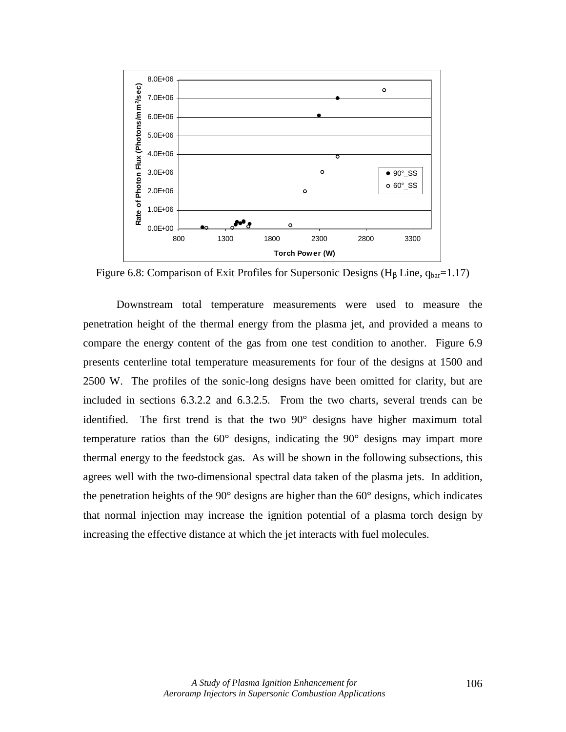

Figure 6.8: Comparison of Exit Profiles for Supersonic Designs (H<sub>β</sub> Line,  $q_{bar}=1.17$ )

 Downstream total temperature measurements were used to measure the penetration height of the thermal energy from the plasma jet, and provided a means to compare the energy content of the gas from one test condition to another. Figure 6.9 presents centerline total temperature measurements for four of the designs at 1500 and 2500 W. The profiles of the sonic-long designs have been omitted for clarity, but are included in sections 6.3.2.2 and 6.3.2.5. From the two charts, several trends can be identified. The first trend is that the two 90° designs have higher maximum total temperature ratios than the 60° designs, indicating the 90° designs may impart more thermal energy to the feedstock gas. As will be shown in the following subsections, this agrees well with the two-dimensional spectral data taken of the plasma jets. In addition, the penetration heights of the 90° designs are higher than the 60° designs, which indicates that normal injection may increase the ignition potential of a plasma torch design by increasing the effective distance at which the jet interacts with fuel molecules.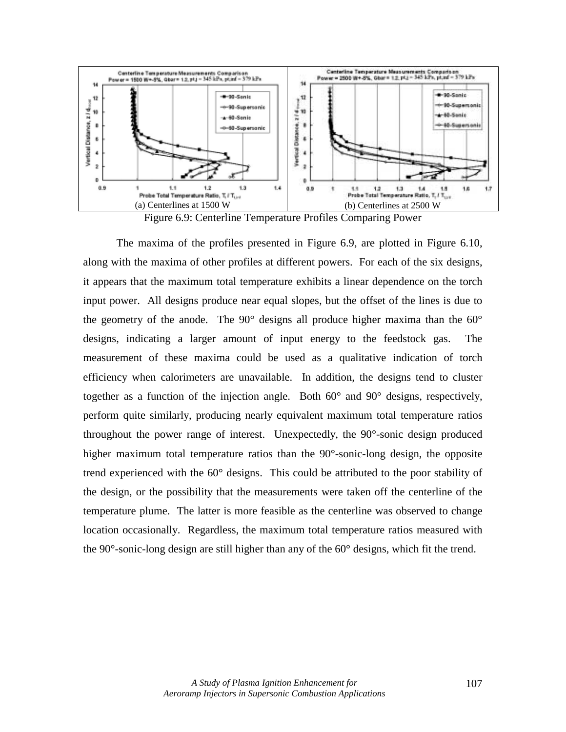

Figure 6.9: Centerline Temperature Profiles Comparing Power

 The maxima of the profiles presented in Figure 6.9, are plotted in Figure 6.10, along with the maxima of other profiles at different powers. For each of the six designs, it appears that the maximum total temperature exhibits a linear dependence on the torch input power. All designs produce near equal slopes, but the offset of the lines is due to the geometry of the anode. The 90° designs all produce higher maxima than the 60° designs, indicating a larger amount of input energy to the feedstock gas. The measurement of these maxima could be used as a qualitative indication of torch efficiency when calorimeters are unavailable. In addition, the designs tend to cluster together as a function of the injection angle. Both 60° and 90° designs, respectively, perform quite similarly, producing nearly equivalent maximum total temperature ratios throughout the power range of interest. Unexpectedly, the 90°-sonic design produced higher maximum total temperature ratios than the 90°-sonic-long design, the opposite trend experienced with the 60° designs. This could be attributed to the poor stability of the design, or the possibility that the measurements were taken off the centerline of the temperature plume. The latter is more feasible as the centerline was observed to change location occasionally. Regardless, the maximum total temperature ratios measured with the 90°-sonic-long design are still higher than any of the 60° designs, which fit the trend.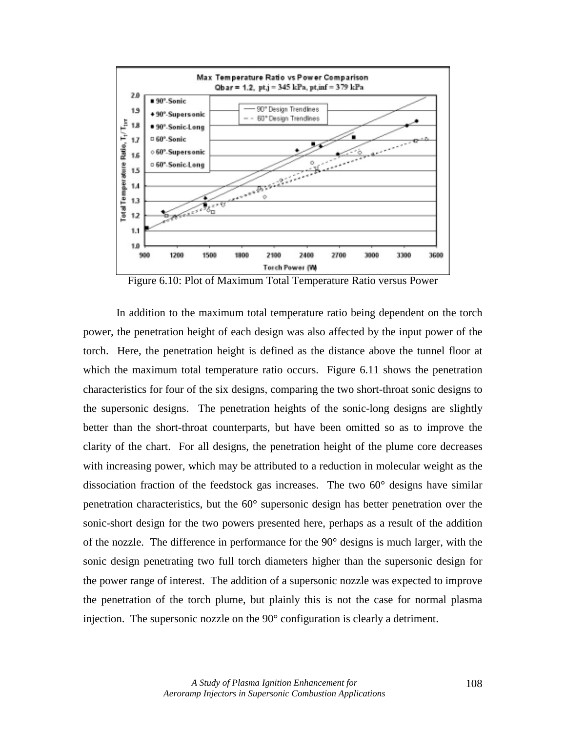

Figure 6.10: Plot of Maximum Total Temperature Ratio versus Power

In addition to the maximum total temperature ratio being dependent on the torch power, the penetration height of each design was also affected by the input power of the torch. Here, the penetration height is defined as the distance above the tunnel floor at which the maximum total temperature ratio occurs. Figure 6.11 shows the penetration characteristics for four of the six designs, comparing the two short-throat sonic designs to the supersonic designs. The penetration heights of the sonic-long designs are slightly better than the short-throat counterparts, but have been omitted so as to improve the clarity of the chart. For all designs, the penetration height of the plume core decreases with increasing power, which may be attributed to a reduction in molecular weight as the dissociation fraction of the feedstock gas increases. The two 60° designs have similar penetration characteristics, but the 60° supersonic design has better penetration over the sonic-short design for the two powers presented here, perhaps as a result of the addition of the nozzle. The difference in performance for the 90° designs is much larger, with the sonic design penetrating two full torch diameters higher than the supersonic design for the power range of interest. The addition of a supersonic nozzle was expected to improve the penetration of the torch plume, but plainly this is not the case for normal plasma injection. The supersonic nozzle on the 90° configuration is clearly a detriment.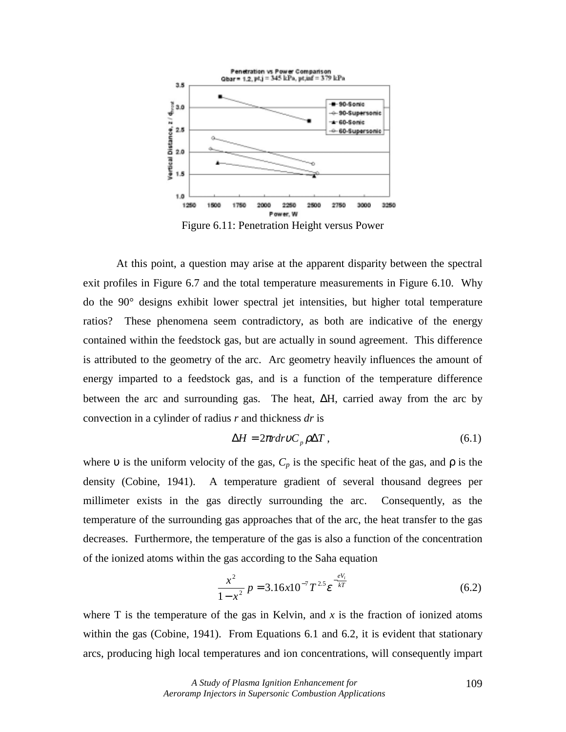

Figure 6.11: Penetration Height versus Power

 At this point, a question may arise at the apparent disparity between the spectral exit profiles in Figure 6.7 and the total temperature measurements in Figure 6.10. Why do the 90° designs exhibit lower spectral jet intensities, but higher total temperature ratios? These phenomena seem contradictory, as both are indicative of the energy contained within the feedstock gas, but are actually in sound agreement. This difference is attributed to the geometry of the arc. Arc geometry heavily influences the amount of energy imparted to a feedstock gas, and is a function of the temperature difference between the arc and surrounding gas. The heat, ∆H, carried away from the arc by convection in a cylinder of radius *r* and thickness *dr* is

$$
\Delta H = 2\pi r dr v C_p \rho \Delta T, \qquad (6.1)
$$

where v is the uniform velocity of the gas,  $C_p$  is the specific heat of the gas, and  $\rho$  is the density (Cobine, 1941). A temperature gradient of several thousand degrees per millimeter exists in the gas directly surrounding the arc. Consequently, as the temperature of the surrounding gas approaches that of the arc, the heat transfer to the gas decreases. Furthermore, the temperature of the gas is also a function of the concentration of the ionized atoms within the gas according to the Saha equation

$$
\frac{x^2}{1-x^2} p = 3.16x10^{-7} T^{2.5} \varepsilon^{-\frac{eV_i}{kT}}
$$
 (6.2)

where T is the temperature of the gas in Kelvin, and  $x$  is the fraction of ionized atoms within the gas (Cobine, 1941). From Equations 6.1 and 6.2, it is evident that stationary arcs, producing high local temperatures and ion concentrations, will consequently impart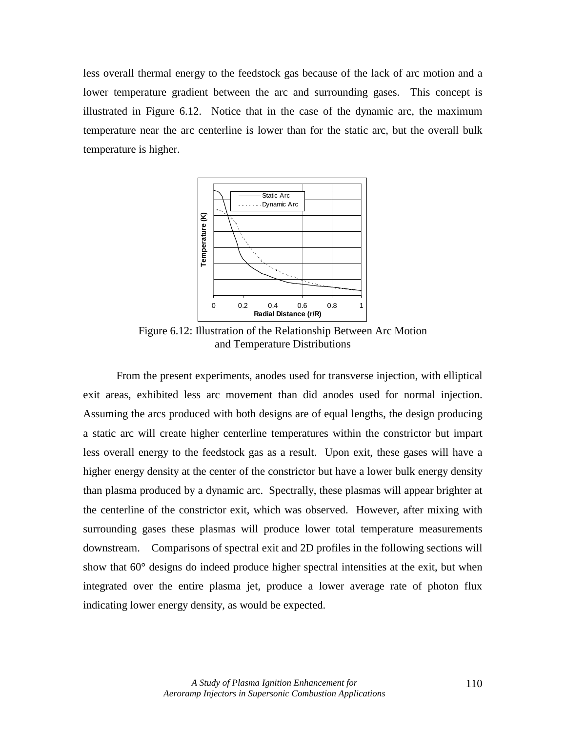less overall thermal energy to the feedstock gas because of the lack of arc motion and a lower temperature gradient between the arc and surrounding gases. This concept is illustrated in Figure 6.12. Notice that in the case of the dynamic arc, the maximum temperature near the arc centerline is lower than for the static arc, but the overall bulk temperature is higher.



Figure 6.12: Illustration of the Relationship Between Arc Motion and Temperature Distributions

From the present experiments, anodes used for transverse injection, with elliptical exit areas, exhibited less arc movement than did anodes used for normal injection. Assuming the arcs produced with both designs are of equal lengths, the design producing a static arc will create higher centerline temperatures within the constrictor but impart less overall energy to the feedstock gas as a result. Upon exit, these gases will have a higher energy density at the center of the constrictor but have a lower bulk energy density than plasma produced by a dynamic arc. Spectrally, these plasmas will appear brighter at the centerline of the constrictor exit, which was observed. However, after mixing with surrounding gases these plasmas will produce lower total temperature measurements downstream. Comparisons of spectral exit and 2D profiles in the following sections will show that 60° designs do indeed produce higher spectral intensities at the exit, but when integrated over the entire plasma jet, produce a lower average rate of photon flux indicating lower energy density, as would be expected.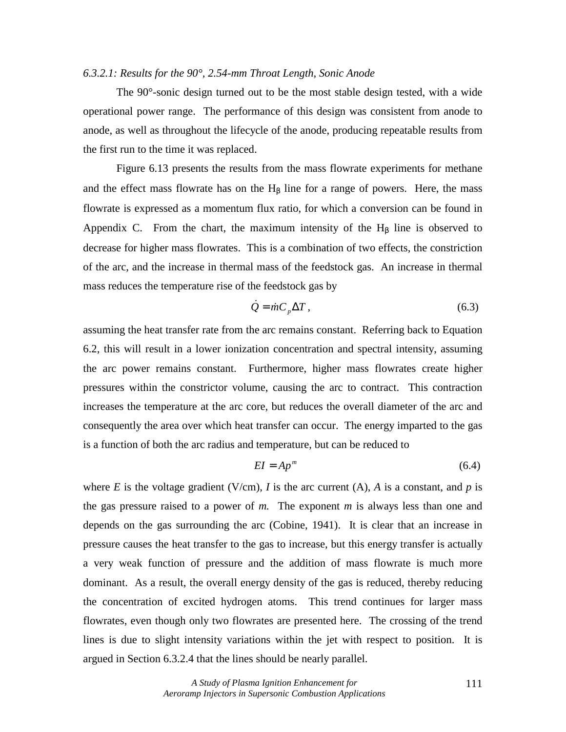## *6.3.2.1: Results for the 90°, 2.54-mm Throat Length, Sonic Anode*

 The 90°-sonic design turned out to be the most stable design tested, with a wide operational power range. The performance of this design was consistent from anode to anode, as well as throughout the lifecycle of the anode, producing repeatable results from the first run to the time it was replaced.

 Figure 6.13 presents the results from the mass flowrate experiments for methane and the effect mass flowrate has on the  $H<sub>β</sub>$  line for a range of powers. Here, the mass flowrate is expressed as a momentum flux ratio, for which a conversion can be found in Appendix C. From the chart, the maximum intensity of the  $H<sub>β</sub>$  line is observed to decrease for higher mass flowrates. This is a combination of two effects, the constriction of the arc, and the increase in thermal mass of the feedstock gas. An increase in thermal mass reduces the temperature rise of the feedstock gas by

$$
\dot{Q} = \dot{m} C_p \Delta T, \qquad (6.3)
$$

assuming the heat transfer rate from the arc remains constant. Referring back to Equation 6.2, this will result in a lower ionization concentration and spectral intensity, assuming the arc power remains constant. Furthermore, higher mass flowrates create higher pressures within the constrictor volume, causing the arc to contract. This contraction increases the temperature at the arc core, but reduces the overall diameter of the arc and consequently the area over which heat transfer can occur. The energy imparted to the gas is a function of both the arc radius and temperature, but can be reduced to

$$
EI = Ap^m \tag{6.4}
$$

where *E* is the voltage gradient (V/cm), *I* is the arc current (A), *A* is a constant, and *p* is the gas pressure raised to a power of *m.* The exponent *m* is always less than one and depends on the gas surrounding the arc (Cobine, 1941). It is clear that an increase in pressure causes the heat transfer to the gas to increase, but this energy transfer is actually a very weak function of pressure and the addition of mass flowrate is much more dominant. As a result, the overall energy density of the gas is reduced, thereby reducing the concentration of excited hydrogen atoms. This trend continues for larger mass flowrates, even though only two flowrates are presented here. The crossing of the trend lines is due to slight intensity variations within the jet with respect to position. It is argued in Section 6.3.2.4 that the lines should be nearly parallel.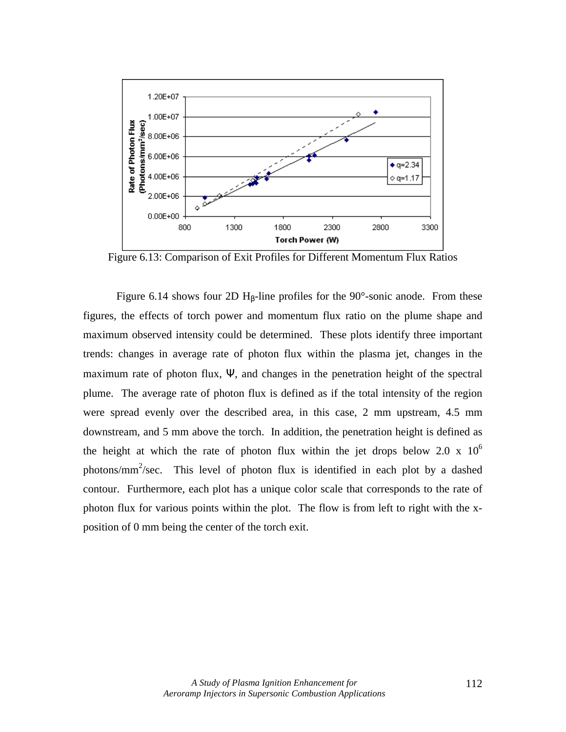

Figure 6.13: Comparison of Exit Profiles for Different Momentum Flux Ratios

Figure 6.14 shows four 2D H<sub>β</sub>-line profiles for the 90 $\degree$ -sonic anode. From these figures, the effects of torch power and momentum flux ratio on the plume shape and maximum observed intensity could be determined. These plots identify three important trends: changes in average rate of photon flux within the plasma jet, changes in the maximum rate of photon flux, Ψ, and changes in the penetration height of the spectral plume. The average rate of photon flux is defined as if the total intensity of the region were spread evenly over the described area, in this case, 2 mm upstream, 4.5 mm downstream, and 5 mm above the torch. In addition, the penetration height is defined as the height at which the rate of photon flux within the jet drops below 2.0 x  $10^6$ photons/mm<sup>2</sup>/sec. This level of photon flux is identified in each plot by a dashed contour. Furthermore, each plot has a unique color scale that corresponds to the rate of photon flux for various points within the plot. The flow is from left to right with the xposition of 0 mm being the center of the torch exit.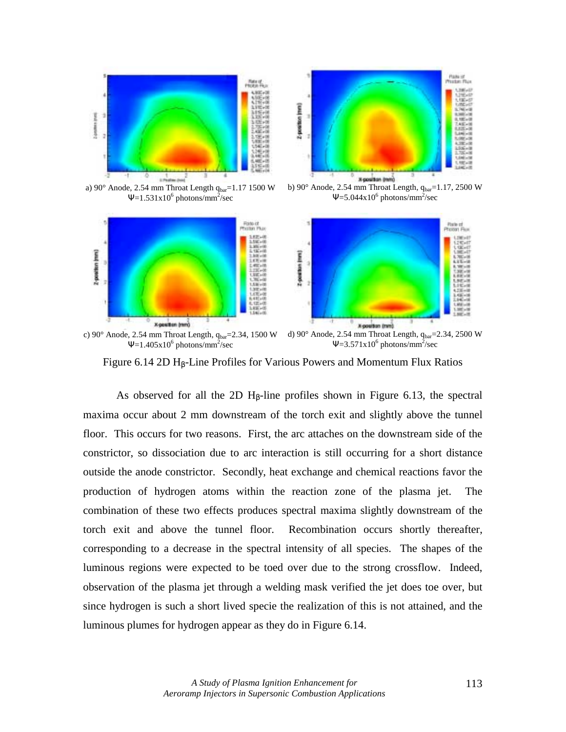

a)  $90^\circ$  Anode, 2.54 mm Throat Length  $q_{bar}$ =1.17 1500 W  $\Psi$ =1.531x10<sup>6</sup> photons/mm<sup>2</sup>/sec



b) 90° Anode, 2.54 mm Throat Length,  $q_{bar}=1.17$ , 2500 W  $\Psi$ =5.044x10<sup>6</sup> photons/mm<sup>2</sup>/sec



Figure 6.14 2D  $H_B$ -Line Profiles for Various Powers and Momentum Flux Ratios

As observed for all the 2D  $H_\beta$ -line profiles shown in Figure 6.13, the spectral maxima occur about 2 mm downstream of the torch exit and slightly above the tunnel floor. This occurs for two reasons. First, the arc attaches on the downstream side of the constrictor, so dissociation due to arc interaction is still occurring for a short distance outside the anode constrictor. Secondly, heat exchange and chemical reactions favor the production of hydrogen atoms within the reaction zone of the plasma jet. The combination of these two effects produces spectral maxima slightly downstream of the torch exit and above the tunnel floor. Recombination occurs shortly thereafter, corresponding to a decrease in the spectral intensity of all species. The shapes of the luminous regions were expected to be toed over due to the strong crossflow. Indeed, observation of the plasma jet through a welding mask verified the jet does toe over, but since hydrogen is such a short lived specie the realization of this is not attained, and the luminous plumes for hydrogen appear as they do in Figure 6.14.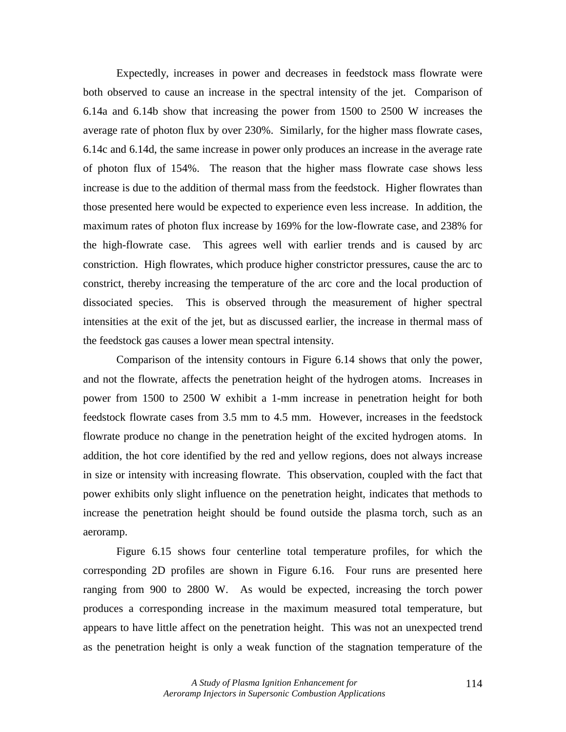Expectedly, increases in power and decreases in feedstock mass flowrate were both observed to cause an increase in the spectral intensity of the jet. Comparison of 6.14a and 6.14b show that increasing the power from 1500 to 2500 W increases the average rate of photon flux by over 230%. Similarly, for the higher mass flowrate cases, 6.14c and 6.14d, the same increase in power only produces an increase in the average rate of photon flux of 154%. The reason that the higher mass flowrate case shows less increase is due to the addition of thermal mass from the feedstock. Higher flowrates than those presented here would be expected to experience even less increase. In addition, the maximum rates of photon flux increase by 169% for the low-flowrate case, and 238% for the high-flowrate case. This agrees well with earlier trends and is caused by arc constriction. High flowrates, which produce higher constrictor pressures, cause the arc to constrict, thereby increasing the temperature of the arc core and the local production of dissociated species. This is observed through the measurement of higher spectral intensities at the exit of the jet, but as discussed earlier, the increase in thermal mass of the feedstock gas causes a lower mean spectral intensity.

Comparison of the intensity contours in Figure 6.14 shows that only the power, and not the flowrate, affects the penetration height of the hydrogen atoms. Increases in power from 1500 to 2500 W exhibit a 1-mm increase in penetration height for both feedstock flowrate cases from 3.5 mm to 4.5 mm. However, increases in the feedstock flowrate produce no change in the penetration height of the excited hydrogen atoms. In addition, the hot core identified by the red and yellow regions, does not always increase in size or intensity with increasing flowrate. This observation, coupled with the fact that power exhibits only slight influence on the penetration height, indicates that methods to increase the penetration height should be found outside the plasma torch, such as an aeroramp.

Figure 6.15 shows four centerline total temperature profiles, for which the corresponding 2D profiles are shown in Figure 6.16. Four runs are presented here ranging from 900 to 2800 W. As would be expected, increasing the torch power produces a corresponding increase in the maximum measured total temperature, but appears to have little affect on the penetration height. This was not an unexpected trend as the penetration height is only a weak function of the stagnation temperature of the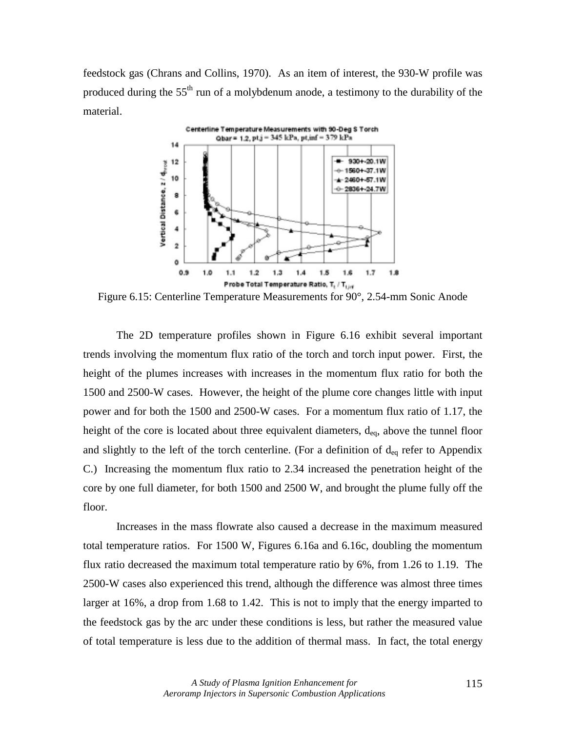feedstock gas (Chrans and Collins, 1970). As an item of interest, the 930-W profile was produced during the  $55<sup>th</sup>$  run of a molybdenum anode, a testimony to the durability of the material.



Figure 6.15: Centerline Temperature Measurements for 90°, 2.54-mm Sonic Anode

The 2D temperature profiles shown in Figure 6.16 exhibit several important trends involving the momentum flux ratio of the torch and torch input power. First, the height of the plumes increases with increases in the momentum flux ratio for both the 1500 and 2500-W cases. However, the height of the plume core changes little with input power and for both the 1500 and 2500-W cases. For a momentum flux ratio of 1.17, the height of the core is located about three equivalent diameters,  $d_{eq}$ , above the tunnel floor and slightly to the left of the torch centerline. (For a definition of  $d_{eq}$  refer to Appendix C.) Increasing the momentum flux ratio to 2.34 increased the penetration height of the core by one full diameter, for both 1500 and 2500 W, and brought the plume fully off the floor.

Increases in the mass flowrate also caused a decrease in the maximum measured total temperature ratios. For 1500 W, Figures 6.16a and 6.16c, doubling the momentum flux ratio decreased the maximum total temperature ratio by 6%, from 1.26 to 1.19. The 2500-W cases also experienced this trend, although the difference was almost three times larger at 16%, a drop from 1.68 to 1.42. This is not to imply that the energy imparted to the feedstock gas by the arc under these conditions is less, but rather the measured value of total temperature is less due to the addition of thermal mass. In fact, the total energy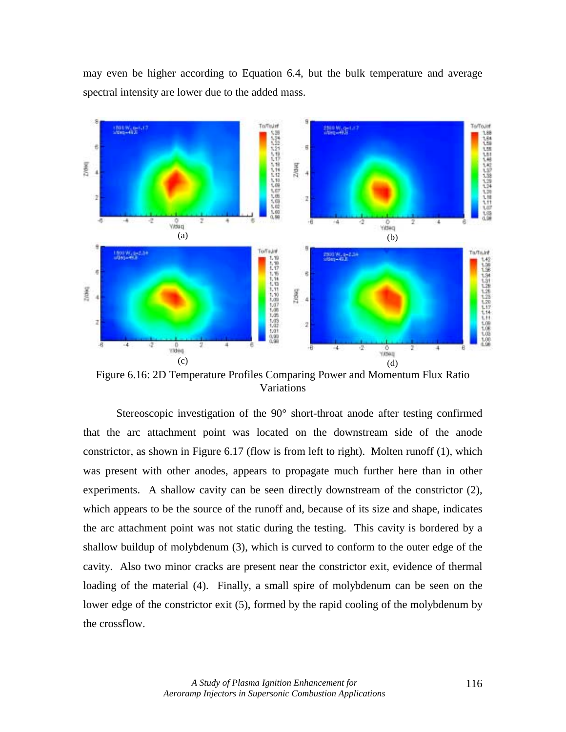may even be higher according to Equation 6.4, but the bulk temperature and average spectral intensity are lower due to the added mass.



Figure 6.16: 2D Temperature Profiles Comparing Power and Momentum Flux Ratio Variations

 Stereoscopic investigation of the 90° short-throat anode after testing confirmed that the arc attachment point was located on the downstream side of the anode constrictor, as shown in Figure 6.17 (flow is from left to right). Molten runoff (1), which was present with other anodes, appears to propagate much further here than in other experiments. A shallow cavity can be seen directly downstream of the constrictor (2), which appears to be the source of the runoff and, because of its size and shape, indicates the arc attachment point was not static during the testing. This cavity is bordered by a shallow buildup of molybdenum (3), which is curved to conform to the outer edge of the cavity. Also two minor cracks are present near the constrictor exit, evidence of thermal loading of the material (4). Finally, a small spire of molybdenum can be seen on the lower edge of the constrictor exit (5), formed by the rapid cooling of the molybdenum by the crossflow.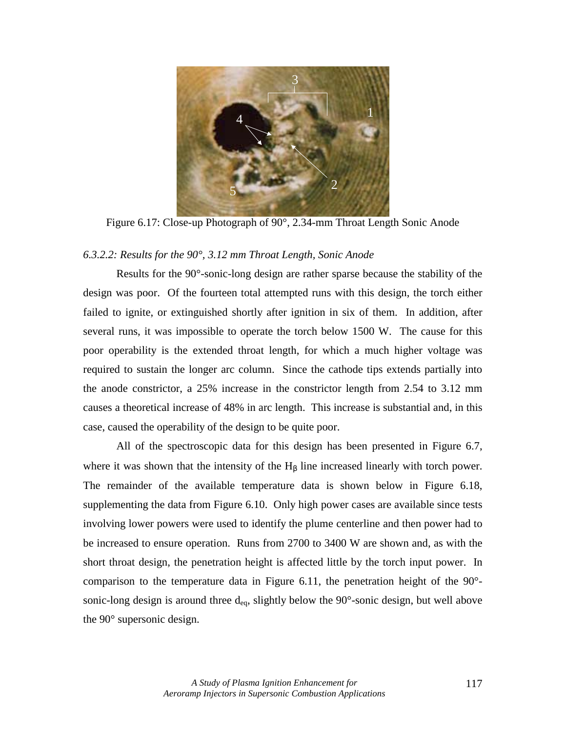

Figure 6.17: Close-up Photograph of 90°, 2.34-mm Throat Length Sonic Anode

## *6.3.2.2: Results for the 90°, 3.12 mm Throat Length, Sonic Anode*

Results for the 90°-sonic-long design are rather sparse because the stability of the design was poor. Of the fourteen total attempted runs with this design, the torch either failed to ignite, or extinguished shortly after ignition in six of them. In addition, after several runs, it was impossible to operate the torch below 1500 W. The cause for this poor operability is the extended throat length, for which a much higher voltage was required to sustain the longer arc column. Since the cathode tips extends partially into the anode constrictor, a 25% increase in the constrictor length from 2.54 to 3.12 mm causes a theoretical increase of 48% in arc length. This increase is substantial and, in this case, caused the operability of the design to be quite poor.

 All of the spectroscopic data for this design has been presented in Figure 6.7, where it was shown that the intensity of the  $H<sub>\beta</sub>$  line increased linearly with torch power. The remainder of the available temperature data is shown below in Figure 6.18, supplementing the data from Figure 6.10. Only high power cases are available since tests involving lower powers were used to identify the plume centerline and then power had to be increased to ensure operation. Runs from 2700 to 3400 W are shown and, as with the short throat design, the penetration height is affected little by the torch input power. In comparison to the temperature data in Figure 6.11, the penetration height of the 90° sonic-long design is around three  $d_{eq}$ , slightly below the 90 $^{\circ}$ -sonic design, but well above the 90° supersonic design.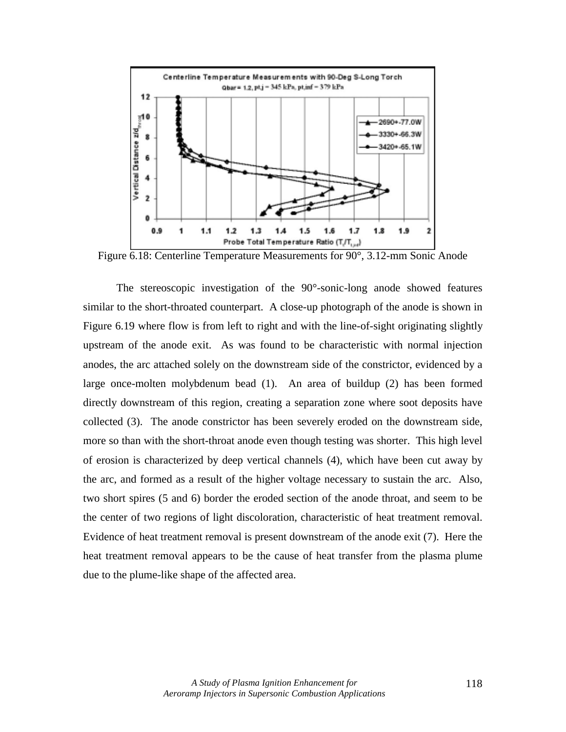

Figure 6.18: Centerline Temperature Measurements for 90°, 3.12-mm Sonic Anode

 The stereoscopic investigation of the 90°-sonic-long anode showed features similar to the short-throated counterpart. A close-up photograph of the anode is shown in Figure 6.19 where flow is from left to right and with the line-of-sight originating slightly upstream of the anode exit. As was found to be characteristic with normal injection anodes, the arc attached solely on the downstream side of the constrictor, evidenced by a large once-molten molybdenum bead (1). An area of buildup (2) has been formed directly downstream of this region, creating a separation zone where soot deposits have collected (3). The anode constrictor has been severely eroded on the downstream side, more so than with the short-throat anode even though testing was shorter. This high level of erosion is characterized by deep vertical channels (4), which have been cut away by the arc, and formed as a result of the higher voltage necessary to sustain the arc. Also, two short spires (5 and 6) border the eroded section of the anode throat, and seem to be the center of two regions of light discoloration, characteristic of heat treatment removal. Evidence of heat treatment removal is present downstream of the anode exit (7). Here the heat treatment removal appears to be the cause of heat transfer from the plasma plume due to the plume-like shape of the affected area.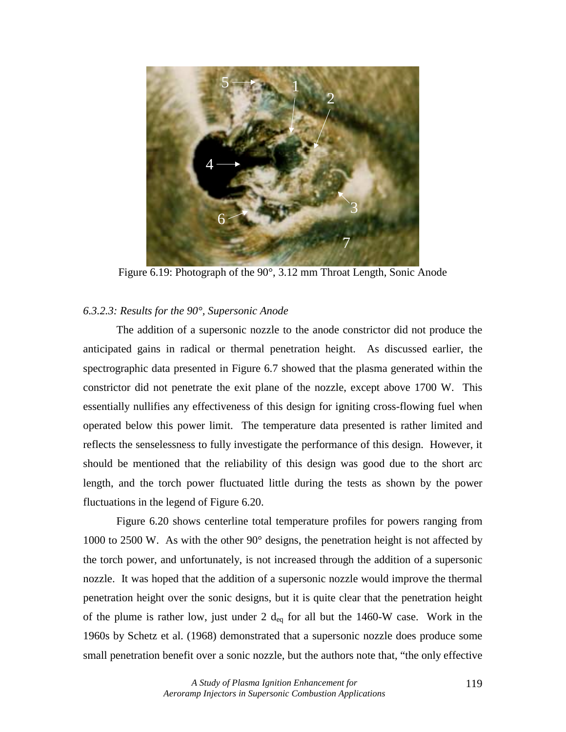

Figure 6.19: Photograph of the 90°, 3.12 mm Throat Length, Sonic Anode

# *6.3.2.3: Results for the 90°, Supersonic Anode*

The addition of a supersonic nozzle to the anode constrictor did not produce the anticipated gains in radical or thermal penetration height. As discussed earlier, the spectrographic data presented in Figure 6.7 showed that the plasma generated within the constrictor did not penetrate the exit plane of the nozzle, except above 1700 W. This essentially nullifies any effectiveness of this design for igniting cross-flowing fuel when operated below this power limit. The temperature data presented is rather limited and reflects the senselessness to fully investigate the performance of this design. However, it should be mentioned that the reliability of this design was good due to the short arc length, and the torch power fluctuated little during the tests as shown by the power fluctuations in the legend of Figure 6.20.

Figure 6.20 shows centerline total temperature profiles for powers ranging from 1000 to 2500 W. As with the other 90° designs, the penetration height is not affected by the torch power, and unfortunately, is not increased through the addition of a supersonic nozzle. It was hoped that the addition of a supersonic nozzle would improve the thermal penetration height over the sonic designs, but it is quite clear that the penetration height of the plume is rather low, just under 2  $d_{eq}$  for all but the 1460-W case. Work in the 1960s by Schetz et al. (1968) demonstrated that a supersonic nozzle does produce some small penetration benefit over a sonic nozzle, but the authors note that, "the only effective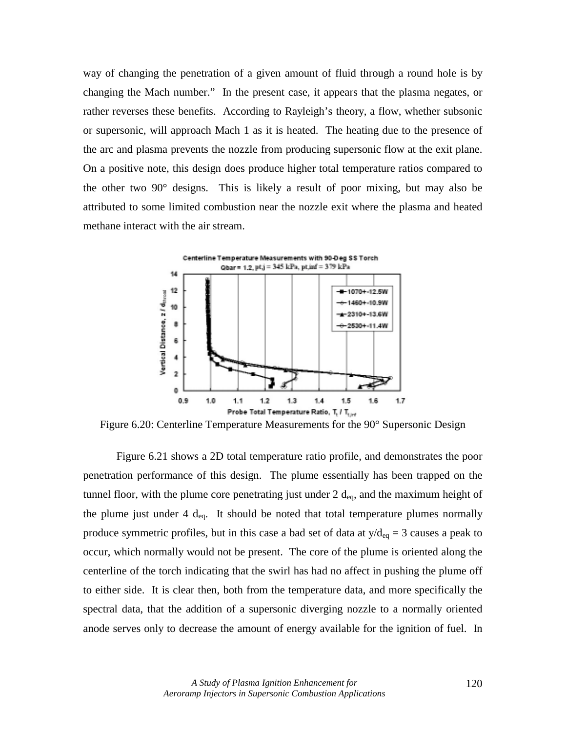way of changing the penetration of a given amount of fluid through a round hole is by changing the Mach number." In the present case, it appears that the plasma negates, or rather reverses these benefits. According to Rayleigh's theory, a flow, whether subsonic or supersonic, will approach Mach 1 as it is heated. The heating due to the presence of the arc and plasma prevents the nozzle from producing supersonic flow at the exit plane. On a positive note, this design does produce higher total temperature ratios compared to the other two 90° designs. This is likely a result of poor mixing, but may also be attributed to some limited combustion near the nozzle exit where the plasma and heated methane interact with the air stream.



Figure 6.20: Centerline Temperature Measurements for the 90° Supersonic Design

Figure 6.21 shows a 2D total temperature ratio profile, and demonstrates the poor penetration performance of this design. The plume essentially has been trapped on the tunnel floor, with the plume core penetrating just under  $2 d_{eq}$ , and the maximum height of the plume just under 4  $d_{eq}$ . It should be noted that total temperature plumes normally produce symmetric profiles, but in this case a bad set of data at  $y/d_{eq} = 3$  causes a peak to occur, which normally would not be present. The core of the plume is oriented along the centerline of the torch indicating that the swirl has had no affect in pushing the plume off to either side. It is clear then, both from the temperature data, and more specifically the spectral data, that the addition of a supersonic diverging nozzle to a normally oriented anode serves only to decrease the amount of energy available for the ignition of fuel. In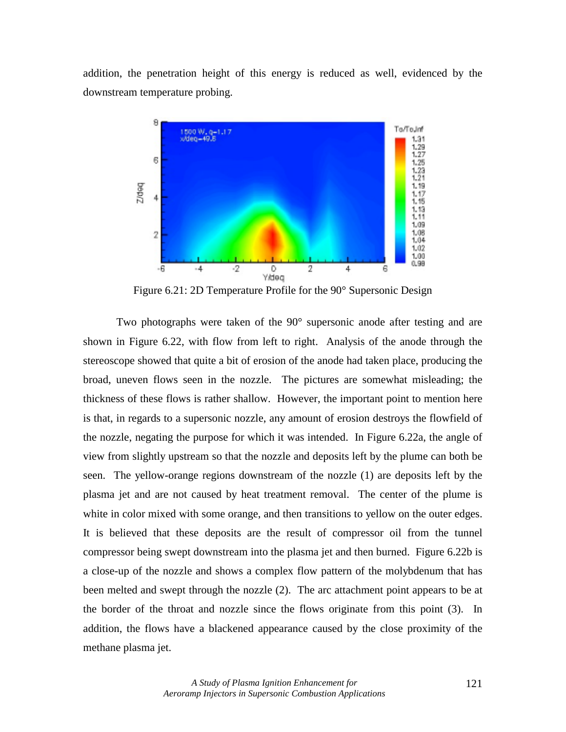addition, the penetration height of this energy is reduced as well, evidenced by the downstream temperature probing.



Figure 6.21: 2D Temperature Profile for the 90° Supersonic Design

Two photographs were taken of the  $90^{\circ}$  supersonic anode after testing and are shown in Figure 6.22, with flow from left to right. Analysis of the anode through the stereoscope showed that quite a bit of erosion of the anode had taken place, producing the broad, uneven flows seen in the nozzle. The pictures are somewhat misleading; the thickness of these flows is rather shallow. However, the important point to mention here is that, in regards to a supersonic nozzle, any amount of erosion destroys the flowfield of the nozzle, negating the purpose for which it was intended. In Figure 6.22a, the angle of view from slightly upstream so that the nozzle and deposits left by the plume can both be seen. The yellow-orange regions downstream of the nozzle (1) are deposits left by the plasma jet and are not caused by heat treatment removal. The center of the plume is white in color mixed with some orange, and then transitions to yellow on the outer edges. It is believed that these deposits are the result of compressor oil from the tunnel compressor being swept downstream into the plasma jet and then burned. Figure 6.22b is a close-up of the nozzle and shows a complex flow pattern of the molybdenum that has been melted and swept through the nozzle (2). The arc attachment point appears to be at the border of the throat and nozzle since the flows originate from this point (3). In addition, the flows have a blackened appearance caused by the close proximity of the methane plasma jet.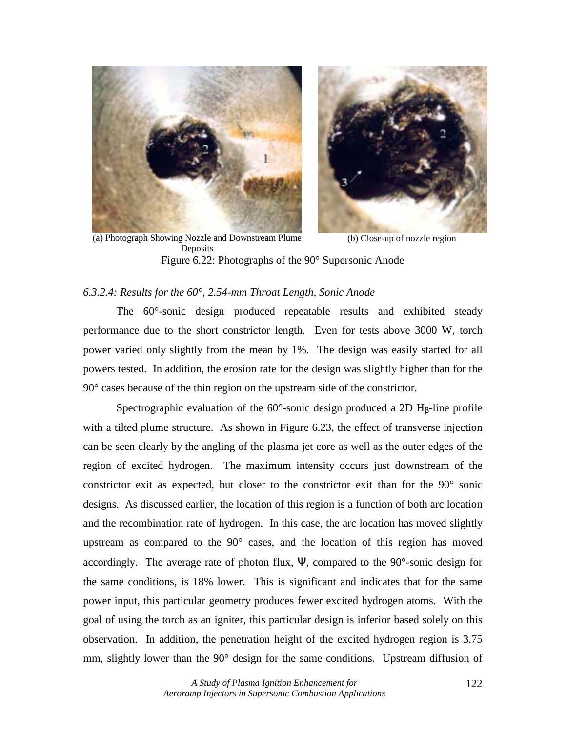



(a) Photograph Showing Nozzle and Downstream Plume Deposits (b) Close-up of nozzle region Figure 6.22: Photographs of the 90° Supersonic Anode

## *6.3.2.4: Results for the 60°, 2.54-mm Throat Length, Sonic Anode*

The 60°-sonic design produced repeatable results and exhibited steady performance due to the short constrictor length. Even for tests above 3000 W, torch power varied only slightly from the mean by 1%. The design was easily started for all powers tested. In addition, the erosion rate for the design was slightly higher than for the 90° cases because of the thin region on the upstream side of the constrictor.

Spectrographic evaluation of the  $60^{\circ}$ -sonic design produced a 2D H<sub>β</sub>-line profile with a tilted plume structure. As shown in Figure 6.23, the effect of transverse injection can be seen clearly by the angling of the plasma jet core as well as the outer edges of the region of excited hydrogen. The maximum intensity occurs just downstream of the constrictor exit as expected, but closer to the constrictor exit than for the 90° sonic designs. As discussed earlier, the location of this region is a function of both arc location and the recombination rate of hydrogen. In this case, the arc location has moved slightly upstream as compared to the 90° cases, and the location of this region has moved accordingly. The average rate of photon flux,  $\Psi$ , compared to the 90 $^{\circ}$ -sonic design for the same conditions, is 18% lower. This is significant and indicates that for the same power input, this particular geometry produces fewer excited hydrogen atoms. With the goal of using the torch as an igniter, this particular design is inferior based solely on this observation. In addition, the penetration height of the excited hydrogen region is 3.75 mm, slightly lower than the 90° design for the same conditions. Upstream diffusion of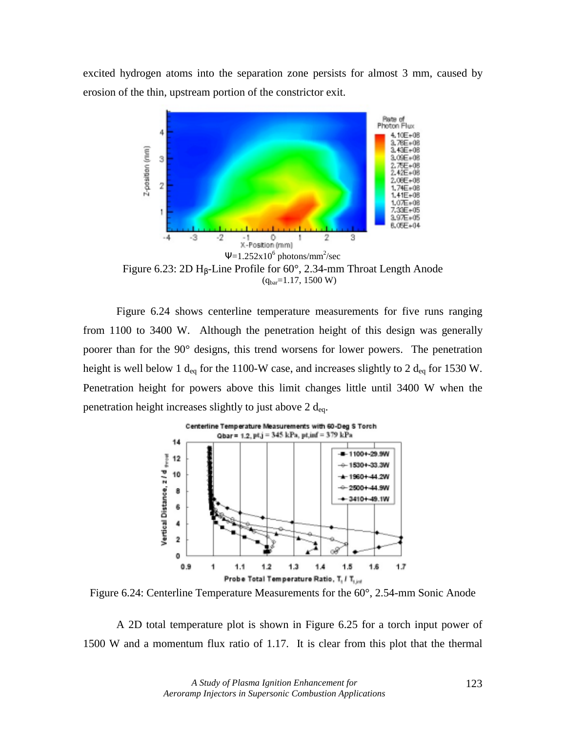excited hydrogen atoms into the separation zone persists for almost 3 mm, caused by erosion of the thin, upstream portion of the constrictor exit.



 $(q_{bar}=1.17, 1500 W)$ 

Figure 6.24 shows centerline temperature measurements for five runs ranging from 1100 to 3400 W. Although the penetration height of this design was generally poorer than for the 90° designs, this trend worsens for lower powers. The penetration height is well below 1  $d_{eq}$  for the 1100-W case, and increases slightly to 2  $d_{eq}$  for 1530 W. Penetration height for powers above this limit changes little until 3400 W when the penetration height increases slightly to just above  $2 d_{eq}$ .



Figure 6.24: Centerline Temperature Measurements for the 60°, 2.54-mm Sonic Anode

A 2D total temperature plot is shown in Figure 6.25 for a torch input power of 1500 W and a momentum flux ratio of 1.17. It is clear from this plot that the thermal

> *A Study of Plasma Ignition Enhancement for Aeroramp Injectors in Supersonic Combustion Applications*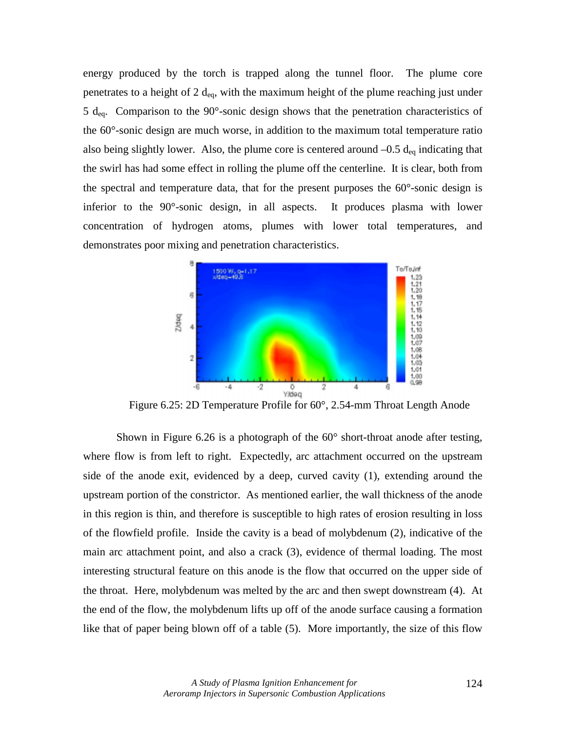energy produced by the torch is trapped along the tunnel floor. The plume core penetrates to a height of  $2 d_{eq}$ , with the maximum height of the plume reaching just under 5  $d_{eq}$ . Comparison to the 90°-sonic design shows that the penetration characteristics of the 60°-sonic design are much worse, in addition to the maximum total temperature ratio also being slightly lower. Also, the plume core is centered around  $-0.5 d_{eq}$  indicating that the swirl has had some effect in rolling the plume off the centerline. It is clear, both from the spectral and temperature data, that for the present purposes the 60°-sonic design is inferior to the 90°-sonic design, in all aspects. It produces plasma with lower concentration of hydrogen atoms, plumes with lower total temperatures, and demonstrates poor mixing and penetration characteristics.



Figure 6.25: 2D Temperature Profile for 60°, 2.54-mm Throat Length Anode

Shown in Figure 6.26 is a photograph of the  $60^{\circ}$  short-throat anode after testing, where flow is from left to right. Expectedly, arc attachment occurred on the upstream side of the anode exit, evidenced by a deep, curved cavity (1), extending around the upstream portion of the constrictor. As mentioned earlier, the wall thickness of the anode in this region is thin, and therefore is susceptible to high rates of erosion resulting in loss of the flowfield profile. Inside the cavity is a bead of molybdenum (2), indicative of the main arc attachment point, and also a crack (3), evidence of thermal loading. The most interesting structural feature on this anode is the flow that occurred on the upper side of the throat. Here, molybdenum was melted by the arc and then swept downstream (4). At the end of the flow, the molybdenum lifts up off of the anode surface causing a formation like that of paper being blown off of a table (5). More importantly, the size of this flow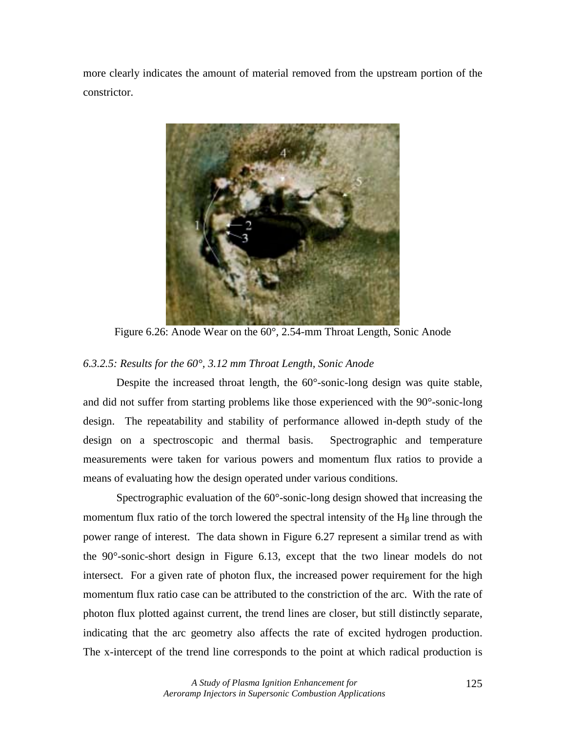more clearly indicates the amount of material removed from the upstream portion of the constrictor.



Figure 6.26: Anode Wear on the 60°, 2.54-mm Throat Length, Sonic Anode

# *6.3.2.5: Results for the 60°, 3.12 mm Throat Length, Sonic Anode*

Despite the increased throat length, the 60°-sonic-long design was quite stable, and did not suffer from starting problems like those experienced with the 90°-sonic-long design. The repeatability and stability of performance allowed in-depth study of the design on a spectroscopic and thermal basis. Spectrographic and temperature measurements were taken for various powers and momentum flux ratios to provide a means of evaluating how the design operated under various conditions.

 Spectrographic evaluation of the 60°-sonic-long design showed that increasing the momentum flux ratio of the torch lowered the spectral intensity of the  $H<sub>β</sub>$  line through the power range of interest. The data shown in Figure 6.27 represent a similar trend as with the 90°-sonic-short design in Figure 6.13, except that the two linear models do not intersect. For a given rate of photon flux, the increased power requirement for the high momentum flux ratio case can be attributed to the constriction of the arc. With the rate of photon flux plotted against current, the trend lines are closer, but still distinctly separate, indicating that the arc geometry also affects the rate of excited hydrogen production. The x-intercept of the trend line corresponds to the point at which radical production is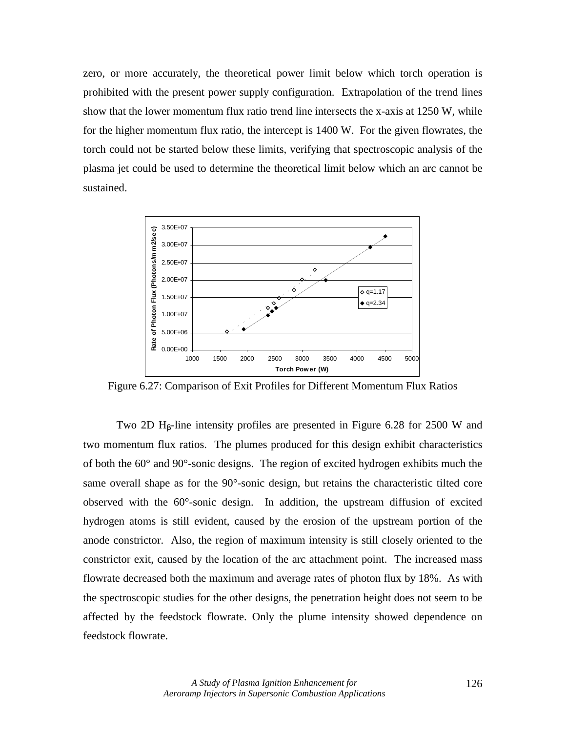zero, or more accurately, the theoretical power limit below which torch operation is prohibited with the present power supply configuration. Extrapolation of the trend lines show that the lower momentum flux ratio trend line intersects the x-axis at 1250 W, while for the higher momentum flux ratio, the intercept is 1400 W. For the given flowrates, the torch could not be started below these limits, verifying that spectroscopic analysis of the plasma jet could be used to determine the theoretical limit below which an arc cannot be sustained.



Figure 6.27: Comparison of Exit Profiles for Different Momentum Flux Ratios

Two 2D  $H_8$ -line intensity profiles are presented in Figure 6.28 for 2500 W and two momentum flux ratios. The plumes produced for this design exhibit characteristics of both the 60° and 90°-sonic designs. The region of excited hydrogen exhibits much the same overall shape as for the 90°-sonic design, but retains the characteristic tilted core observed with the 60°-sonic design. In addition, the upstream diffusion of excited hydrogen atoms is still evident, caused by the erosion of the upstream portion of the anode constrictor. Also, the region of maximum intensity is still closely oriented to the constrictor exit, caused by the location of the arc attachment point. The increased mass flowrate decreased both the maximum and average rates of photon flux by 18%. As with the spectroscopic studies for the other designs, the penetration height does not seem to be affected by the feedstock flowrate. Only the plume intensity showed dependence on feedstock flowrate.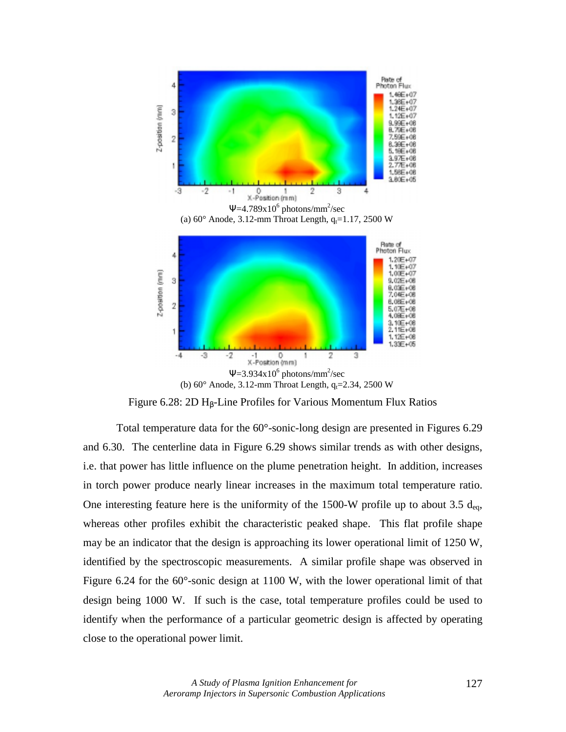

Figure 6.28: 2D Hβ-Line Profiles for Various Momentum Flux Ratios

Total temperature data for the 60°-sonic-long design are presented in Figures 6.29 and 6.30. The centerline data in Figure 6.29 shows similar trends as with other designs, i.e. that power has little influence on the plume penetration height. In addition, increases in torch power produce nearly linear increases in the maximum total temperature ratio. One interesting feature here is the uniformity of the 1500-W profile up to about 3.5  $d_{eq}$ , whereas other profiles exhibit the characteristic peaked shape. This flat profile shape may be an indicator that the design is approaching its lower operational limit of 1250 W, identified by the spectroscopic measurements. A similar profile shape was observed in Figure 6.24 for the 60°-sonic design at 1100 W, with the lower operational limit of that design being 1000 W. If such is the case, total temperature profiles could be used to identify when the performance of a particular geometric design is affected by operating close to the operational power limit.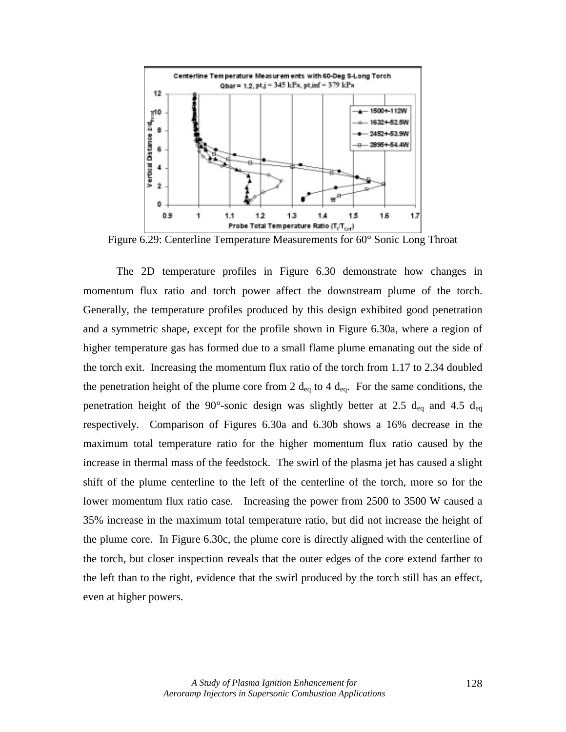

Figure 6.29: Centerline Temperature Measurements for 60° Sonic Long Throat

The 2D temperature profiles in Figure 6.30 demonstrate how changes in momentum flux ratio and torch power affect the downstream plume of the torch. Generally, the temperature profiles produced by this design exhibited good penetration and a symmetric shape, except for the profile shown in Figure 6.30a, where a region of higher temperature gas has formed due to a small flame plume emanating out the side of the torch exit. Increasing the momentum flux ratio of the torch from 1.17 to 2.34 doubled the penetration height of the plume core from 2  $d_{eq}$  to 4  $d_{eq}$ . For the same conditions, the penetration height of the 90°-sonic design was slightly better at 2.5  $d_{eq}$  and 4.5  $d_{eq}$ respectively. Comparison of Figures 6.30a and 6.30b shows a 16% decrease in the maximum total temperature ratio for the higher momentum flux ratio caused by the increase in thermal mass of the feedstock. The swirl of the plasma jet has caused a slight shift of the plume centerline to the left of the centerline of the torch, more so for the lower momentum flux ratio case. Increasing the power from 2500 to 3500 W caused a 35% increase in the maximum total temperature ratio, but did not increase the height of the plume core. In Figure 6.30c, the plume core is directly aligned with the centerline of the torch, but closer inspection reveals that the outer edges of the core extend farther to the left than to the right, evidence that the swirl produced by the torch still has an effect, even at higher powers.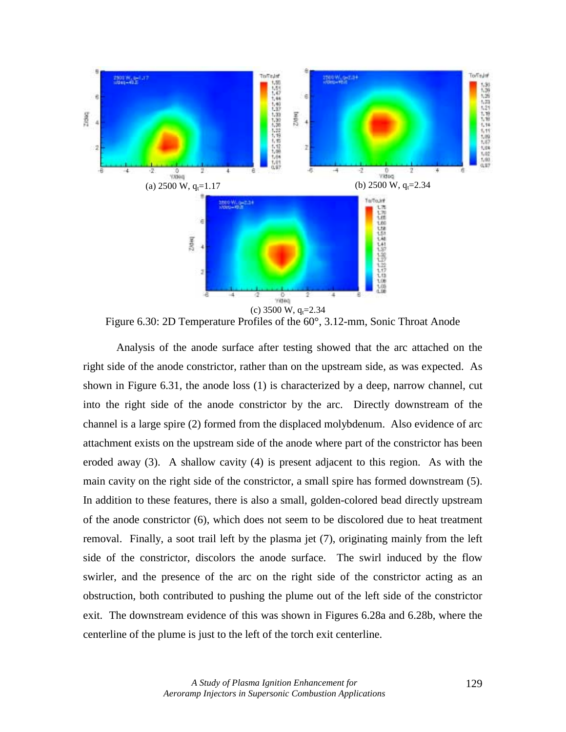

Figure 6.30: 2D Temperature Profiles of the 60°, 3.12-mm, Sonic Throat Anode

 Analysis of the anode surface after testing showed that the arc attached on the right side of the anode constrictor, rather than on the upstream side, as was expected. As shown in Figure 6.31, the anode loss (1) is characterized by a deep, narrow channel, cut into the right side of the anode constrictor by the arc. Directly downstream of the channel is a large spire (2) formed from the displaced molybdenum. Also evidence of arc attachment exists on the upstream side of the anode where part of the constrictor has been eroded away (3). A shallow cavity (4) is present adjacent to this region. As with the main cavity on the right side of the constrictor, a small spire has formed downstream (5). In addition to these features, there is also a small, golden-colored bead directly upstream of the anode constrictor (6), which does not seem to be discolored due to heat treatment removal. Finally, a soot trail left by the plasma jet (7), originating mainly from the left side of the constrictor, discolors the anode surface. The swirl induced by the flow swirler, and the presence of the arc on the right side of the constrictor acting as an obstruction, both contributed to pushing the plume out of the left side of the constrictor exit. The downstream evidence of this was shown in Figures 6.28a and 6.28b, where the centerline of the plume is just to the left of the torch exit centerline.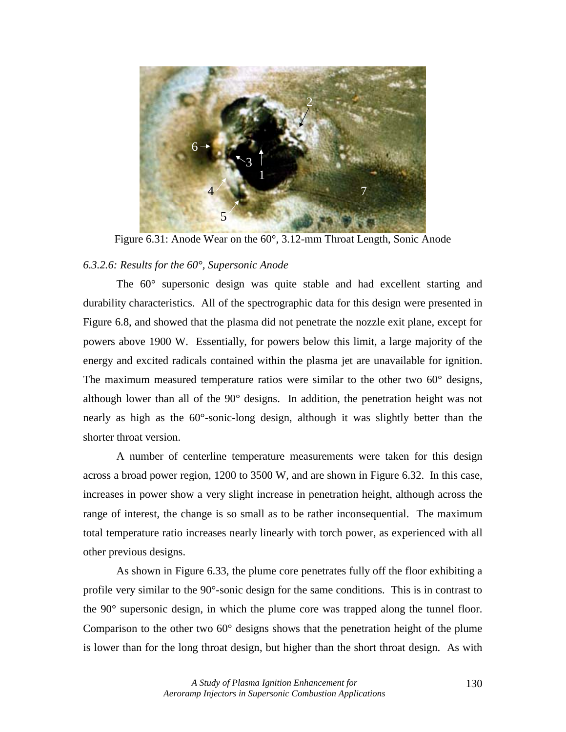

Figure 6.31: Anode Wear on the 60°, 3.12-mm Throat Length, Sonic Anode

# *6.3.2.6: Results for the 60°, Supersonic Anode*

The 60° supersonic design was quite stable and had excellent starting and durability characteristics. All of the spectrographic data for this design were presented in Figure 6.8, and showed that the plasma did not penetrate the nozzle exit plane, except for powers above 1900 W. Essentially, for powers below this limit, a large majority of the energy and excited radicals contained within the plasma jet are unavailable for ignition. The maximum measured temperature ratios were similar to the other two 60<sup>°</sup> designs, although lower than all of the 90° designs. In addition, the penetration height was not nearly as high as the 60°-sonic-long design, although it was slightly better than the shorter throat version.

 A number of centerline temperature measurements were taken for this design across a broad power region, 1200 to 3500 W, and are shown in Figure 6.32. In this case, increases in power show a very slight increase in penetration height, although across the range of interest, the change is so small as to be rather inconsequential. The maximum total temperature ratio increases nearly linearly with torch power, as experienced with all other previous designs.

As shown in Figure 6.33, the plume core penetrates fully off the floor exhibiting a profile very similar to the 90°-sonic design for the same conditions. This is in contrast to the 90° supersonic design, in which the plume core was trapped along the tunnel floor. Comparison to the other two 60° designs shows that the penetration height of the plume is lower than for the long throat design, but higher than the short throat design. As with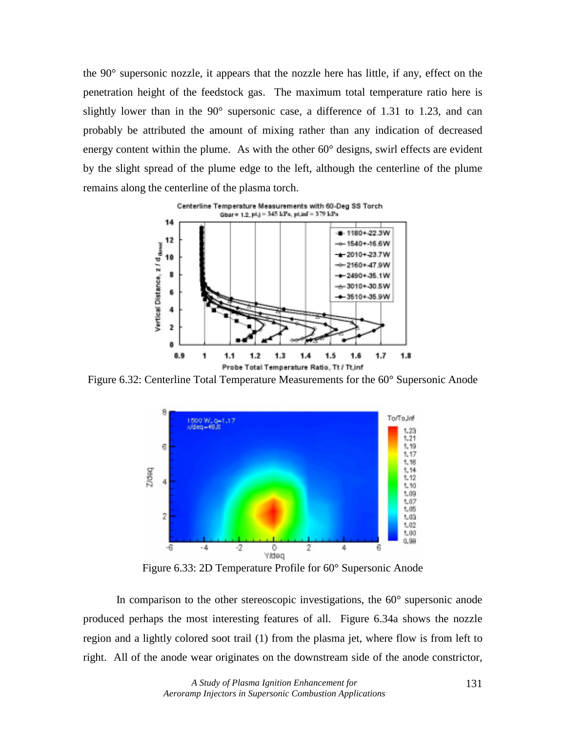the 90° supersonic nozzle, it appears that the nozzle here has little, if any, effect on the penetration height of the feedstock gas. The maximum total temperature ratio here is slightly lower than in the 90° supersonic case, a difference of 1.31 to 1.23, and can probably be attributed the amount of mixing rather than any indication of decreased energy content within the plume. As with the other 60° designs, swirl effects are evident by the slight spread of the plume edge to the left, although the centerline of the plume remains along the centerline of the plasma torch.



Figure 6.32: Centerline Total Temperature Measurements for the 60° Supersonic Anode



Figure 6.33: 2D Temperature Profile for 60° Supersonic Anode

 In comparison to the other stereoscopic investigations, the 60° supersonic anode produced perhaps the most interesting features of all. Figure 6.34a shows the nozzle region and a lightly colored soot trail (1) from the plasma jet, where flow is from left to right. All of the anode wear originates on the downstream side of the anode constrictor,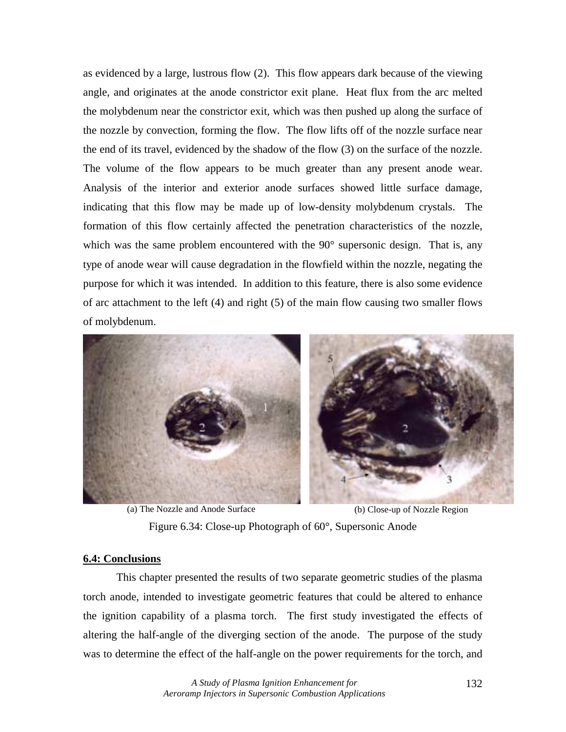as evidenced by a large, lustrous flow (2). This flow appears dark because of the viewing angle, and originates at the anode constrictor exit plane. Heat flux from the arc melted the molybdenum near the constrictor exit, which was then pushed up along the surface of the nozzle by convection, forming the flow. The flow lifts off of the nozzle surface near the end of its travel, evidenced by the shadow of the flow (3) on the surface of the nozzle. The volume of the flow appears to be much greater than any present anode wear. Analysis of the interior and exterior anode surfaces showed little surface damage, indicating that this flow may be made up of low-density molybdenum crystals. The formation of this flow certainly affected the penetration characteristics of the nozzle, which was the same problem encountered with the 90° supersonic design. That is, any type of anode wear will cause degradation in the flowfield within the nozzle, negating the purpose for which it was intended. In addition to this feature, there is also some evidence of arc attachment to the left (4) and right (5) of the main flow causing two smaller flows of molybdenum.



(a) The Nozzle and Anode Surface (b) Close-up of Nozzle Region

Figure 6.34: Close-up Photograph of 60°, Supersonic Anode

#### **6.4: Conclusions**

 This chapter presented the results of two separate geometric studies of the plasma torch anode, intended to investigate geometric features that could be altered to enhance the ignition capability of a plasma torch. The first study investigated the effects of altering the half-angle of the diverging section of the anode. The purpose of the study was to determine the effect of the half-angle on the power requirements for the torch, and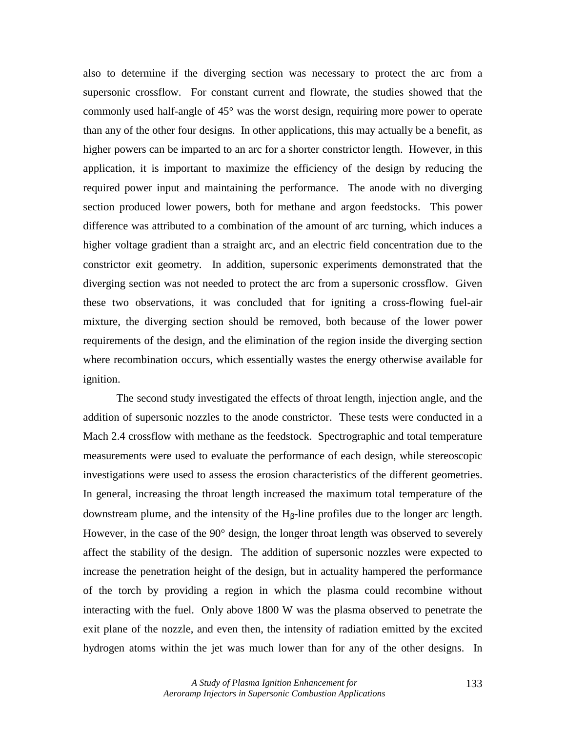also to determine if the diverging section was necessary to protect the arc from a supersonic crossflow. For constant current and flowrate, the studies showed that the commonly used half-angle of 45° was the worst design, requiring more power to operate than any of the other four designs. In other applications, this may actually be a benefit, as higher powers can be imparted to an arc for a shorter constrictor length. However, in this application, it is important to maximize the efficiency of the design by reducing the required power input and maintaining the performance. The anode with no diverging section produced lower powers, both for methane and argon feedstocks. This power difference was attributed to a combination of the amount of arc turning, which induces a higher voltage gradient than a straight arc, and an electric field concentration due to the constrictor exit geometry. In addition, supersonic experiments demonstrated that the diverging section was not needed to protect the arc from a supersonic crossflow. Given these two observations, it was concluded that for igniting a cross-flowing fuel-air mixture, the diverging section should be removed, both because of the lower power requirements of the design, and the elimination of the region inside the diverging section where recombination occurs, which essentially wastes the energy otherwise available for ignition.

 The second study investigated the effects of throat length, injection angle, and the addition of supersonic nozzles to the anode constrictor. These tests were conducted in a Mach 2.4 crossflow with methane as the feedstock. Spectrographic and total temperature measurements were used to evaluate the performance of each design, while stereoscopic investigations were used to assess the erosion characteristics of the different geometries. In general, increasing the throat length increased the maximum total temperature of the downstream plume, and the intensity of the  $H_B$ -line profiles due to the longer arc length. However, in the case of the 90° design, the longer throat length was observed to severely affect the stability of the design. The addition of supersonic nozzles were expected to increase the penetration height of the design, but in actuality hampered the performance of the torch by providing a region in which the plasma could recombine without interacting with the fuel. Only above 1800 W was the plasma observed to penetrate the exit plane of the nozzle, and even then, the intensity of radiation emitted by the excited hydrogen atoms within the jet was much lower than for any of the other designs. In